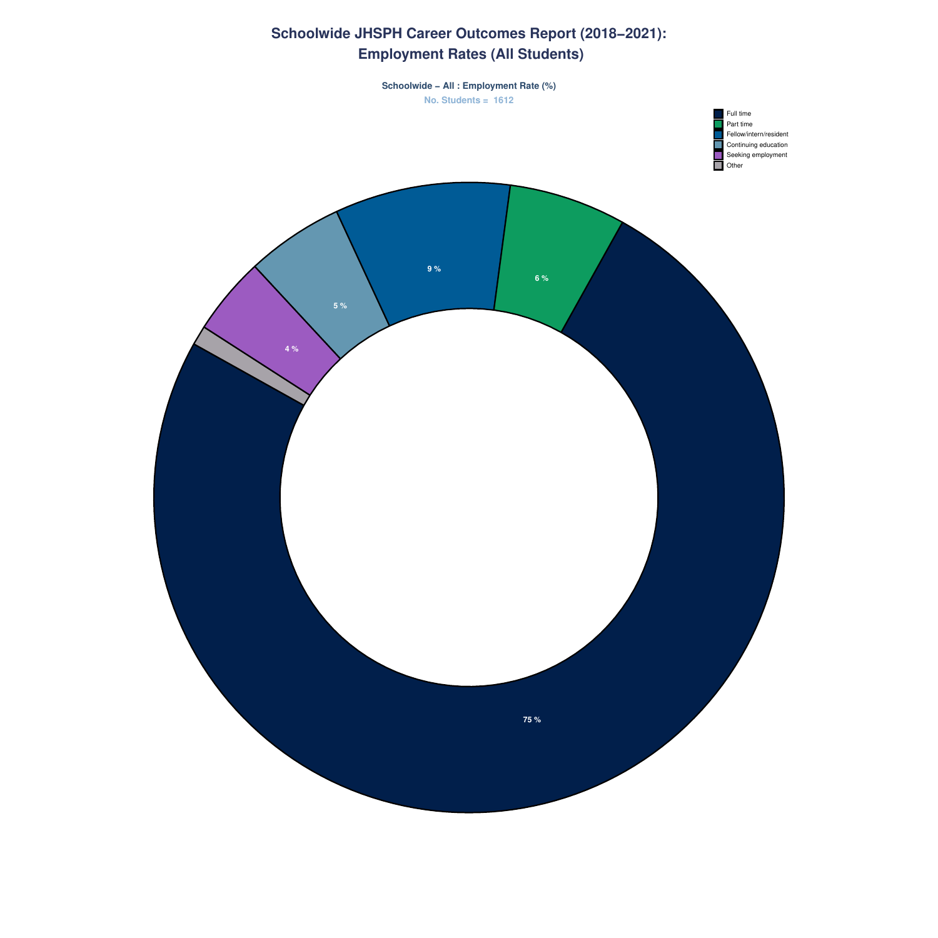# **Schoolwide JHSPH Career Outcomes Report (2018−2021): Employment Rates (All Students)**

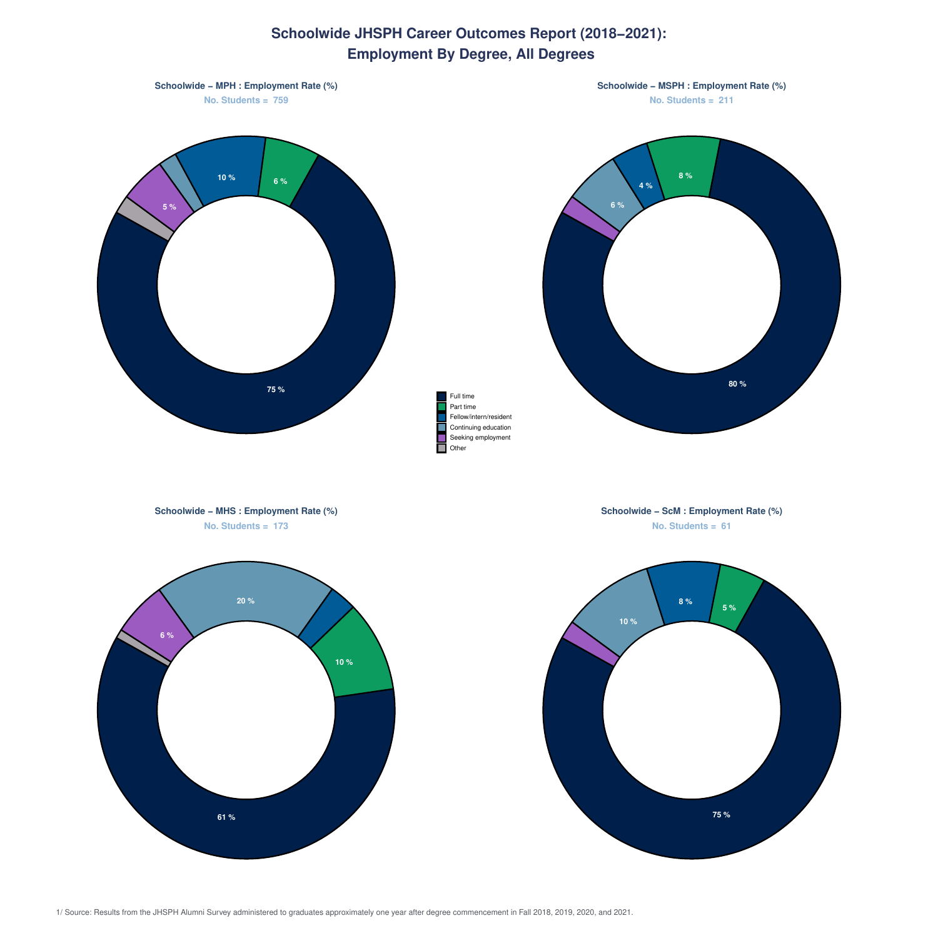# **Schoolwide JHSPH Career Outcomes Report (2018−2021): Employment By Degree, All Degrees**

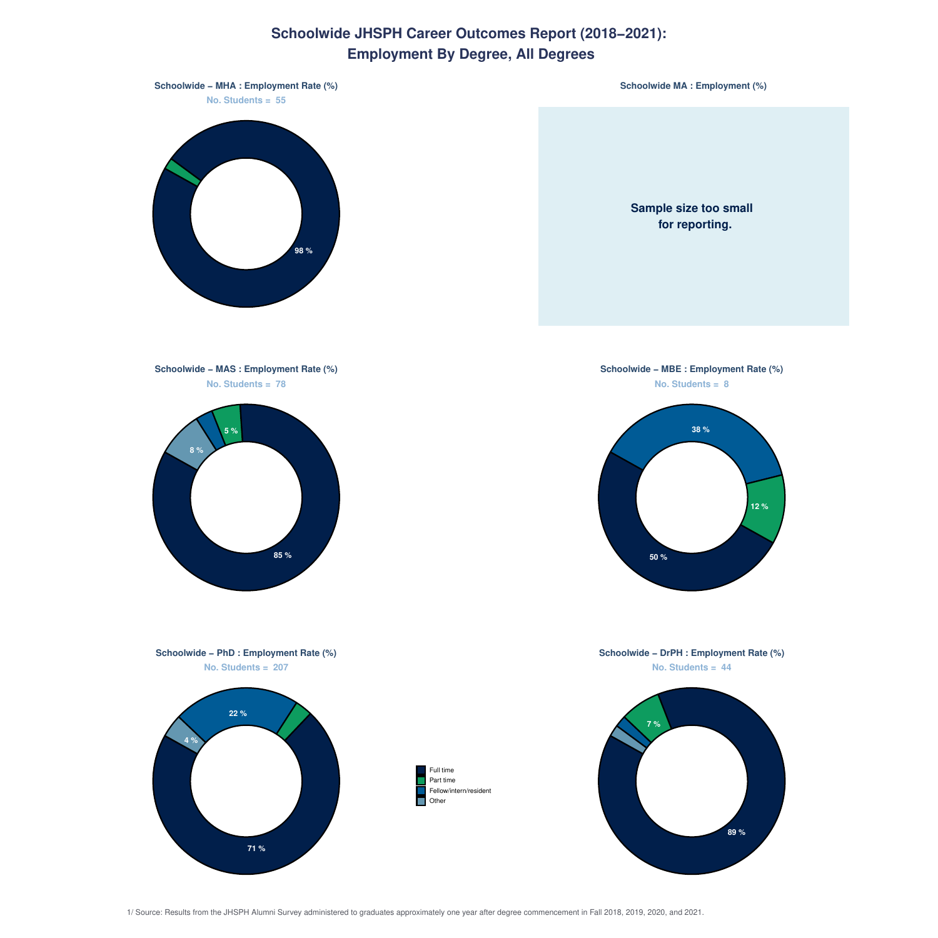### **Schoolwide JHSPH Career Outcomes Report (2018−2021): Employment By Degree, All Degrees**

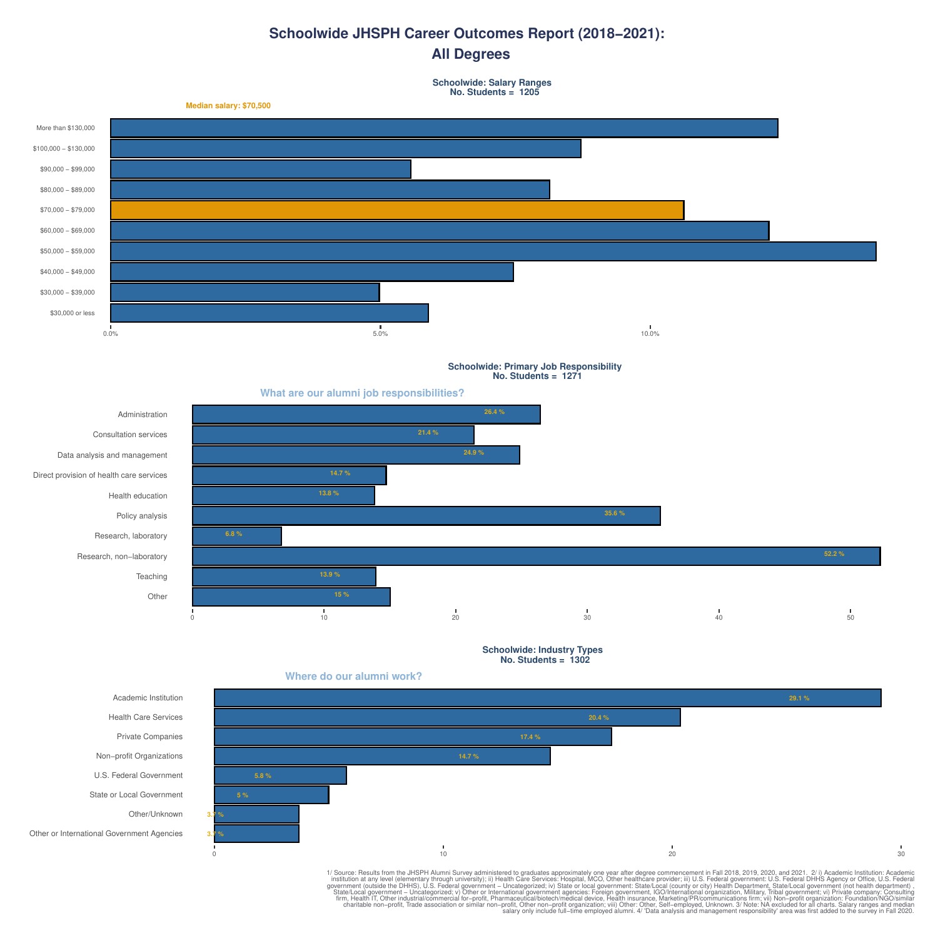#### **Schoolwide JHSPH Career Outcomes Report (2018−2021): All Degrees**

**Schoolwide: Salary Ranges No. Students = 1205**



**Schoolwide: Primary Job Responsibility No. Students = 1271**







**17.4 %**

0 10 20 30



**3.7 % 3.7 %** **5 %**

**5.8 %**

Other

Other or International Government Agencies

1/ Source: Results from the JHSPH Alumni Survey administered to graduate a popositive in the JHSPH Alumni Survey in Figure 2011, 2019, 2019, 2019, 2019, 2019, 2019, 2019, 2019, 2019, 2019, 2019, 2019, 2019, 2019, 2019, 201

**20.4 %**

**29.1 %**

**Where do our alumni work?**

**What are our alumni job responsibilities?**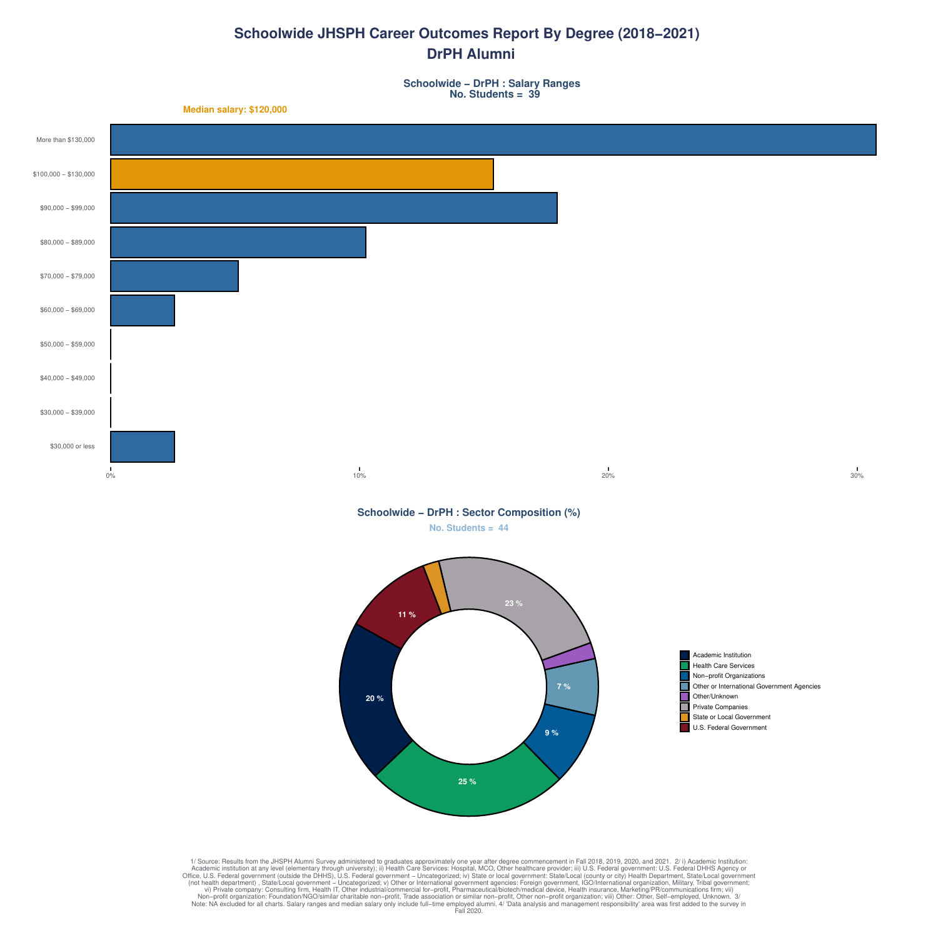#### **Schoolwide JHSPH Career Outcomes Report By Degree (2018−2021) DrPH Alumni**

**Schoolwide − DrPH : Salary Ranges No. Students = 39**

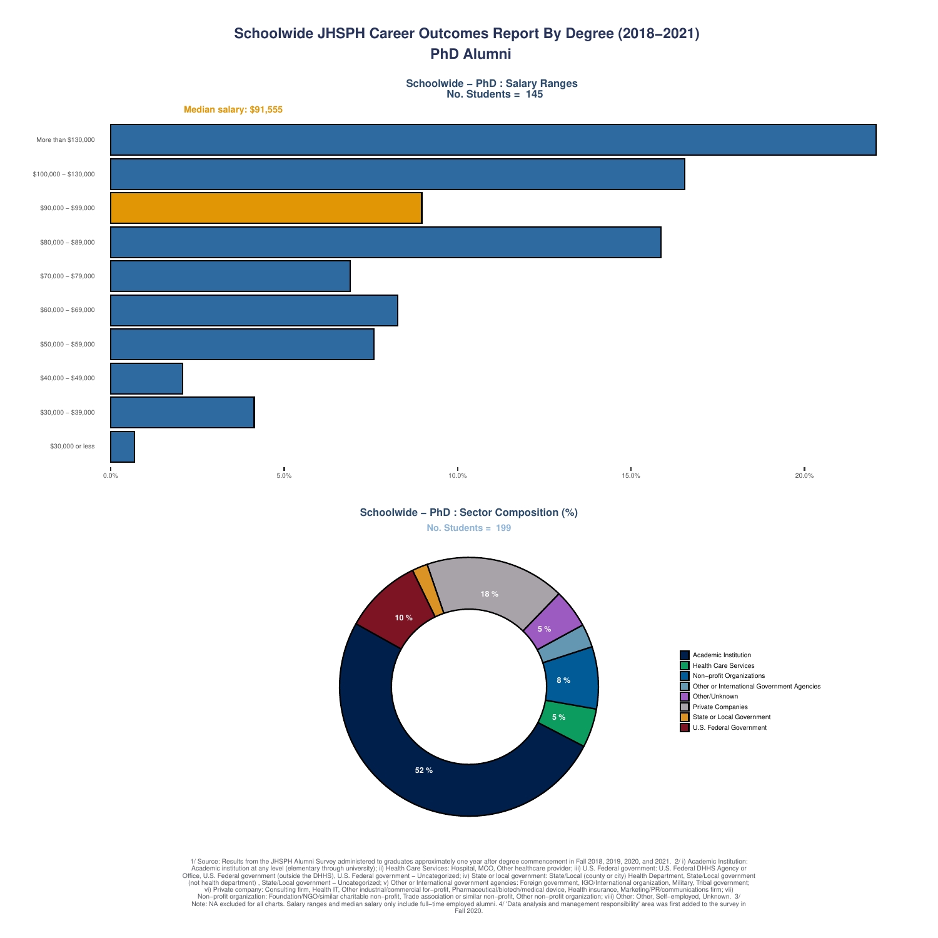# **Schoolwide JHSPH Career Outcomes Report By Degree (2018−2021) PhD Alumni**

**Schoolwide − PhD : Salary Ranges No. Students = 145**



**Schoolwide − PhD : Sector Composition (%)**

**No. Students = 199**

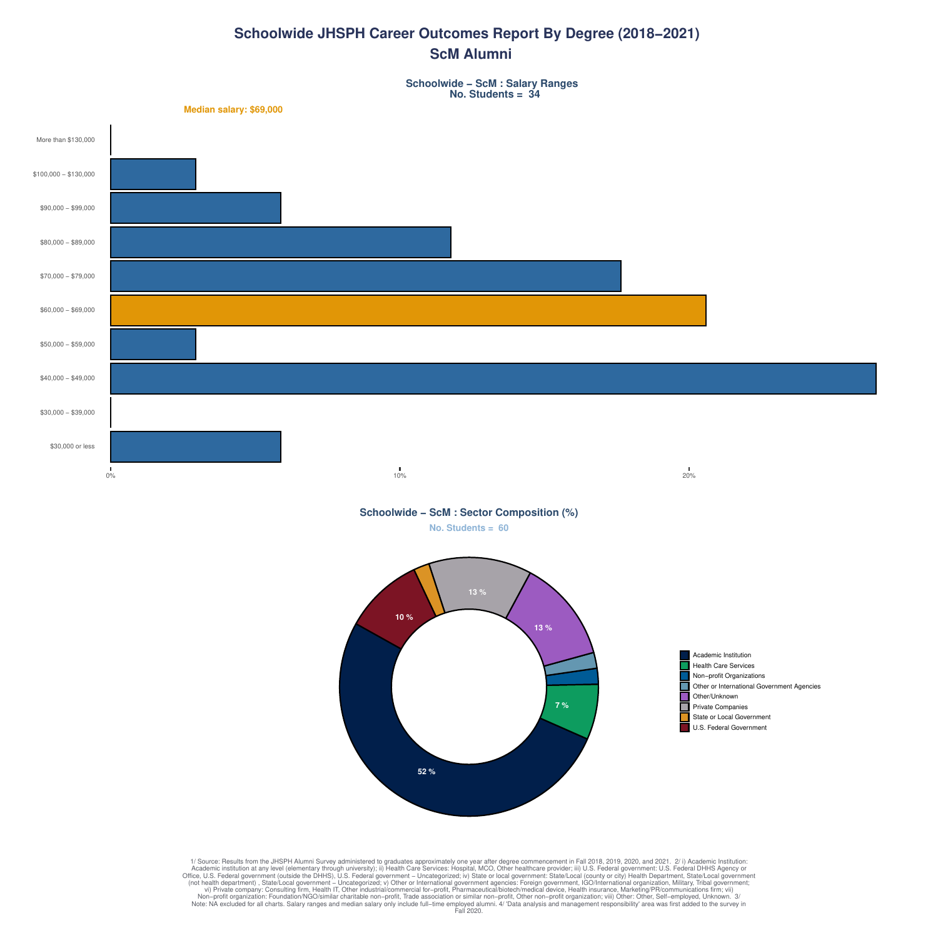# **Schoolwide JHSPH Career Outcomes Report By Degree (2018−2021) ScM Alumni**

**Schoolwide − ScM : Salary Ranges No. Students = 34**

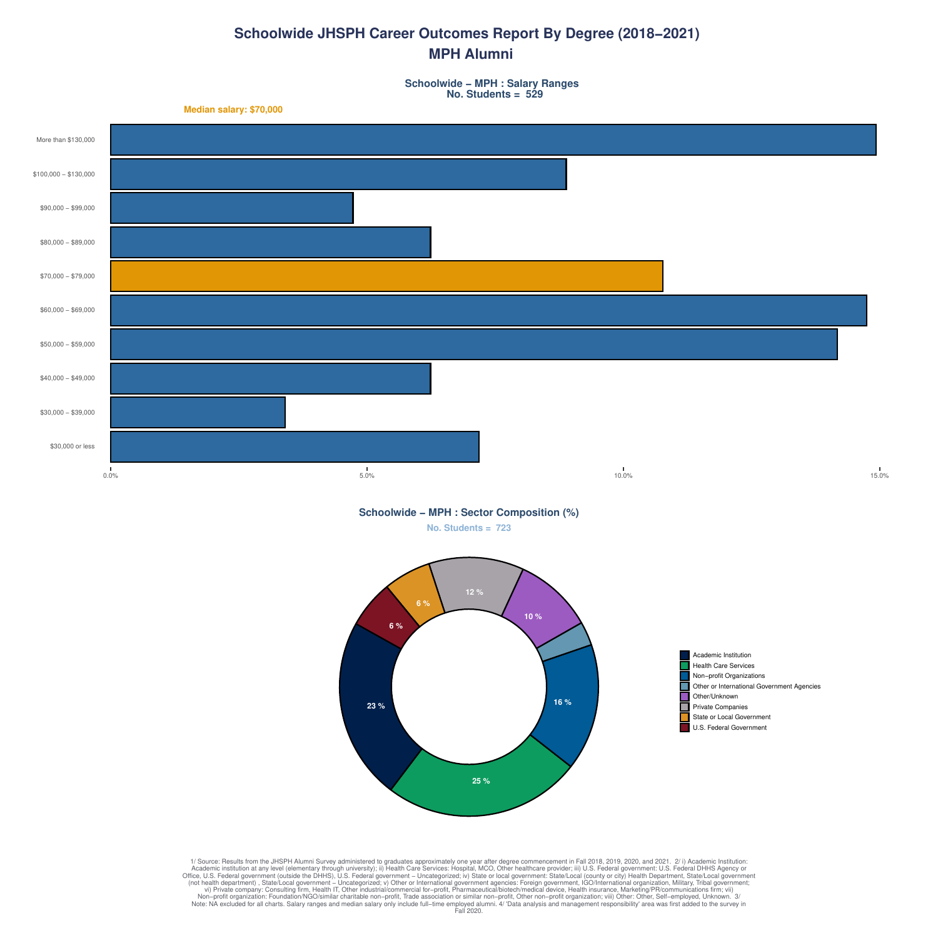# **Schoolwide JHSPH Career Outcomes Report By Degree (2018−2021) MPH Alumni**

**Schoolwide − MPH : Salary Ranges No. Students = 529**



**No. Students = 723 Schoolwide − MPH : Sector Composition (%)**

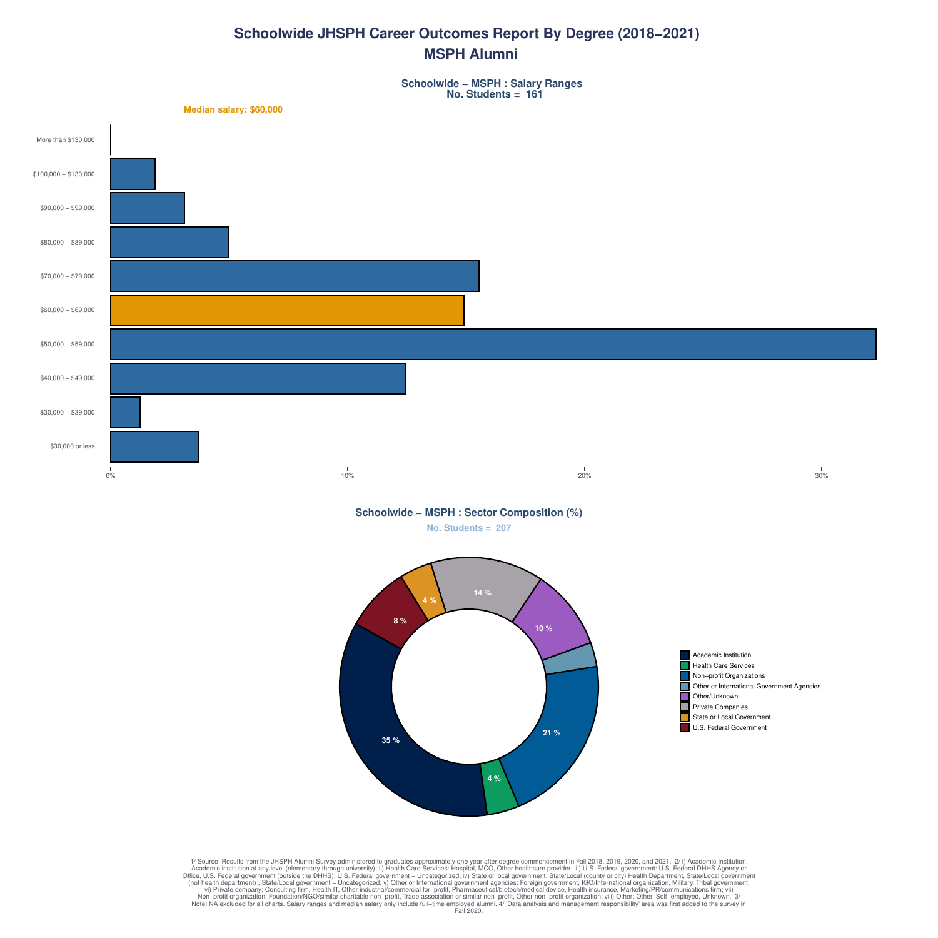# **Schoolwide JHSPH Career Outcomes Report By Degree (2018−2021) MSPH Alumni**

**Schoolwide − MSPH : Salary Ranges No. Students = 161**



1/ Source: Results from the JHSPH Alumni Survey administered to graduates approximately one year after degree commencement in Fall 2018, 2019, 2020, and 2021.<br>Caddemic institution at any level (elementary through universit

**4 %**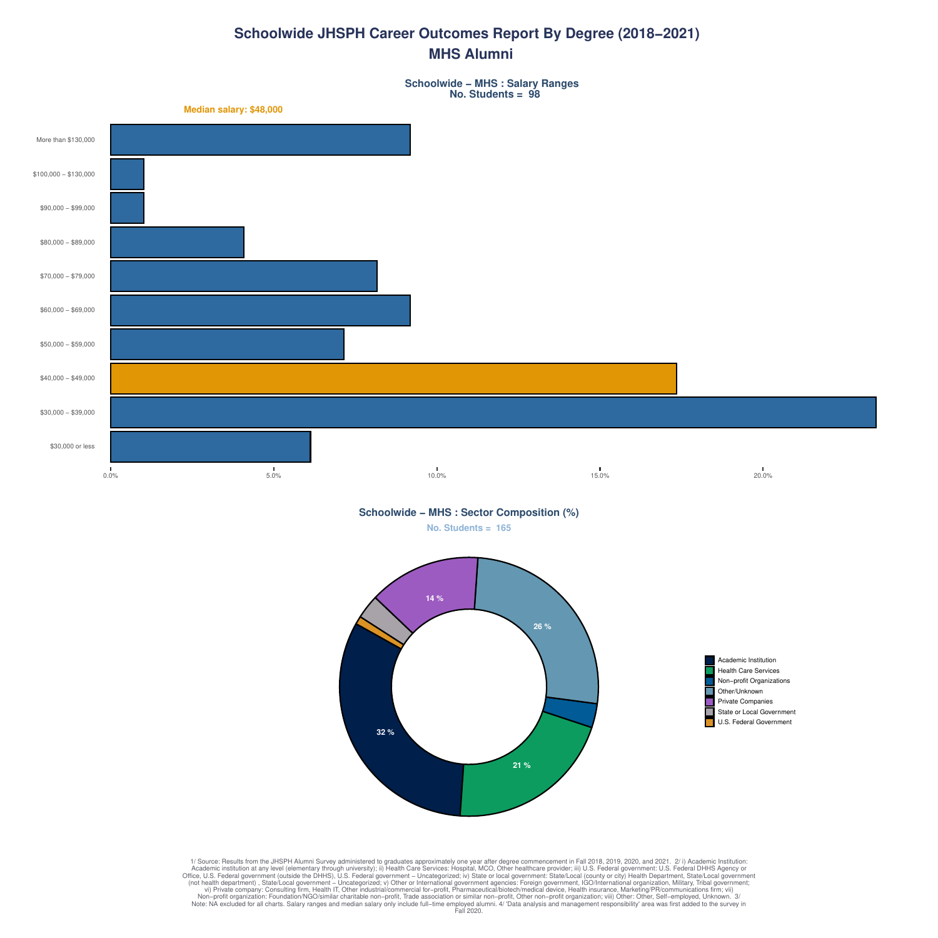# **Schoolwide JHSPH Career Outcomes Report By Degree (2018−2021) MHS Alumni**

**Schoolwide − MHS : Salary Ranges No. Students = 98**

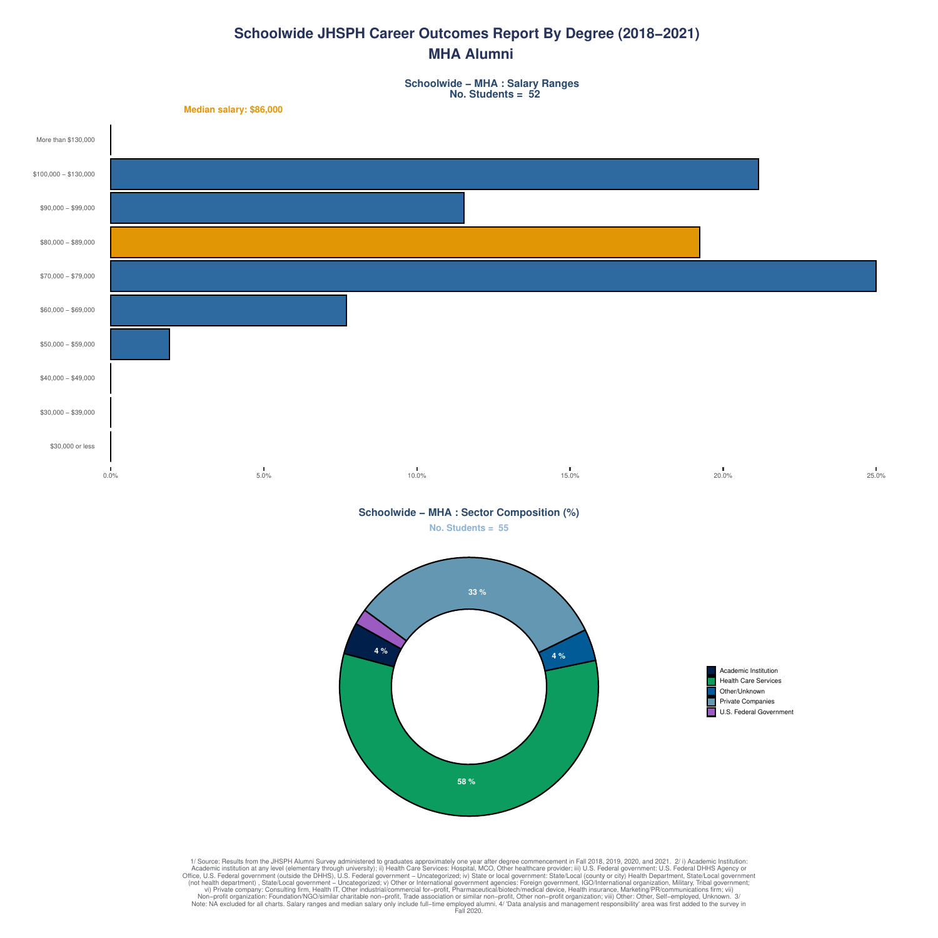# **Schoolwide JHSPH Career Outcomes Report By Degree (2018−2021) MHA Alumni**

**Schoolwide − MHA : Salary Ranges No. Students = 52**





Academic Institution Health Care Services Other/Unknown Private Companies U.S. Federal Government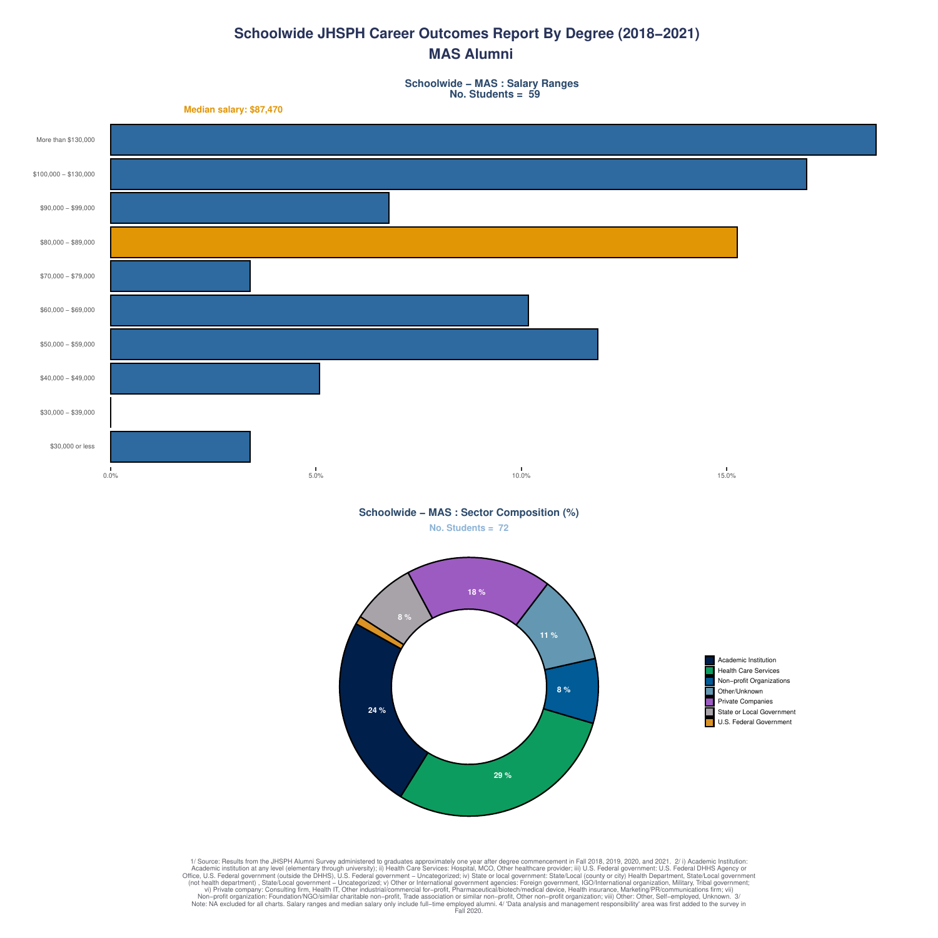# **Schoolwide JHSPH Career Outcomes Report By Degree (2018−2021) MAS Alumni**

**Schoolwide − MAS : Salary Ranges No. Students = 59**

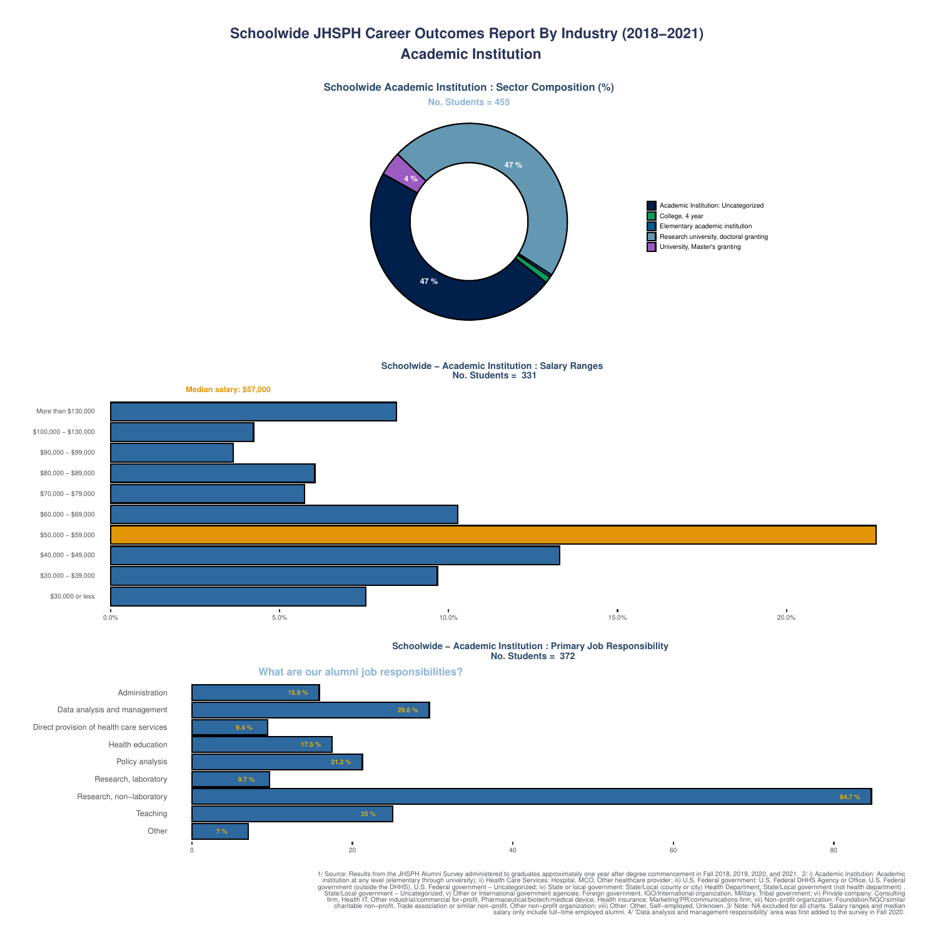#### **Schoolwide JHSPH Career Outcomes Report By Industry (2018−2021) Academic Institution**



**Schoolwide − Academic Institution : Salary Ranges No. Students = 331**



**Schoolwide − Academic Institution : Primary Job Responsibility No. Students = 372**

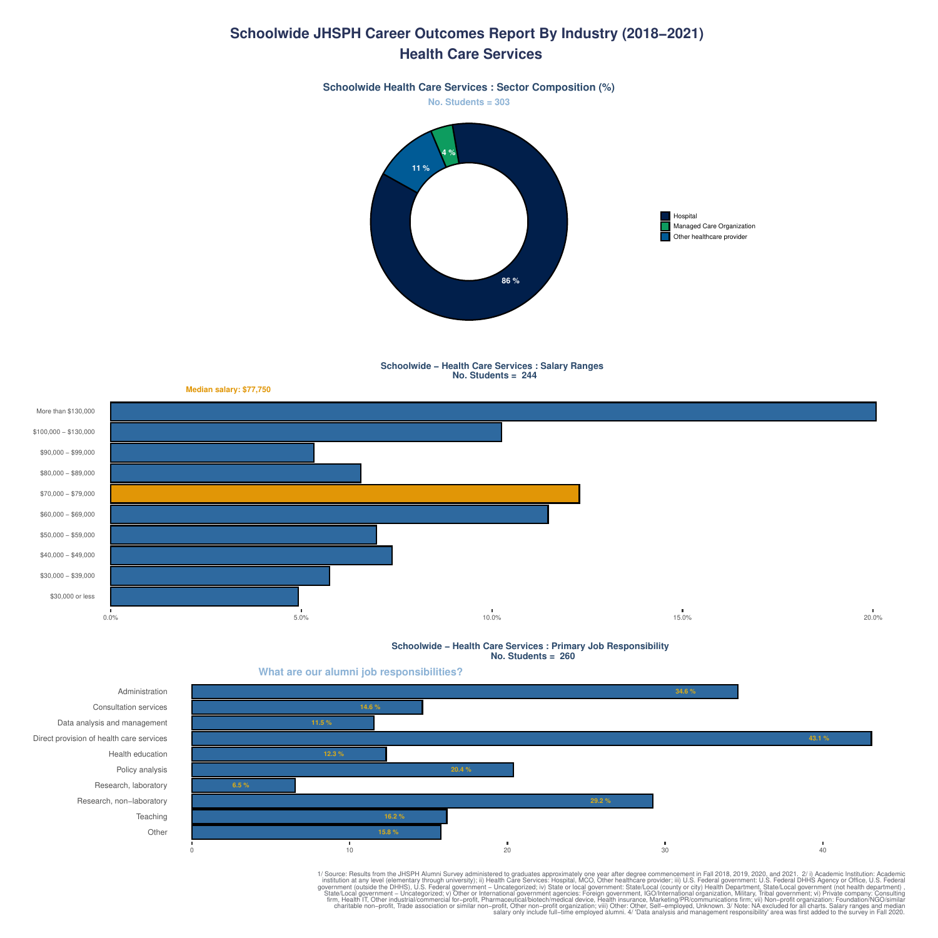### **Schoolwide JHSPH Career Outcomes Report By Industry (2018−2021) Health Care Services**

**No. Students = 303 Schoolwide Health Care Services : Sector Composition (%)**



**Schoolwide − Health Care Services : Salary Ranges No. Students = 244**



**Schoolwide − Health Care Services : Primary Job Responsibility No. Students = 260**



1/ Source: Results from the JHSPH Alumni Survey administered to graduate a popositive in the JHSPH Alumni Survey administration at any level (elementary through university); ii) Health Care Services: "Hospital, MCO, Other

**What are our alumni job responsibilities?**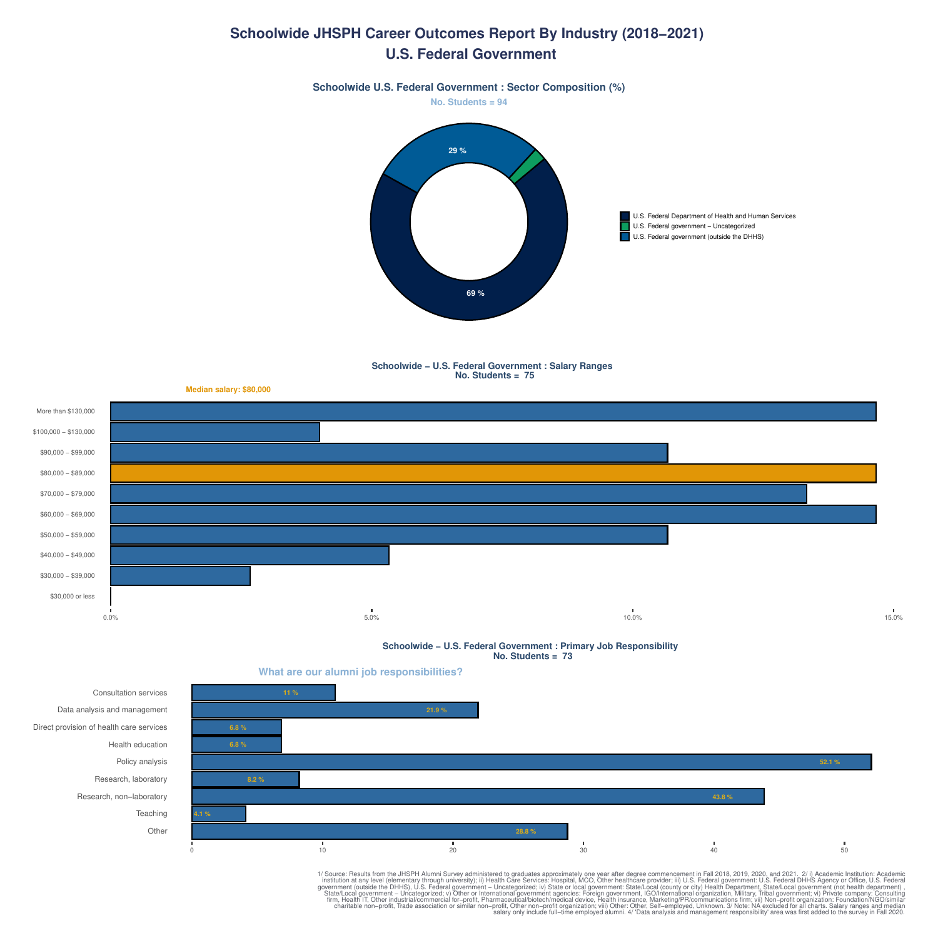#### **Schoolwide JHSPH Career Outcomes Report By Industry (2018−2021) U.S. Federal Government**



**Schoolwide − U.S. Federal Government : Salary Ranges No. Students = 75**



**Schoolwide − U.S. Federal Government : Primary Job Responsibility No. Students = 73**

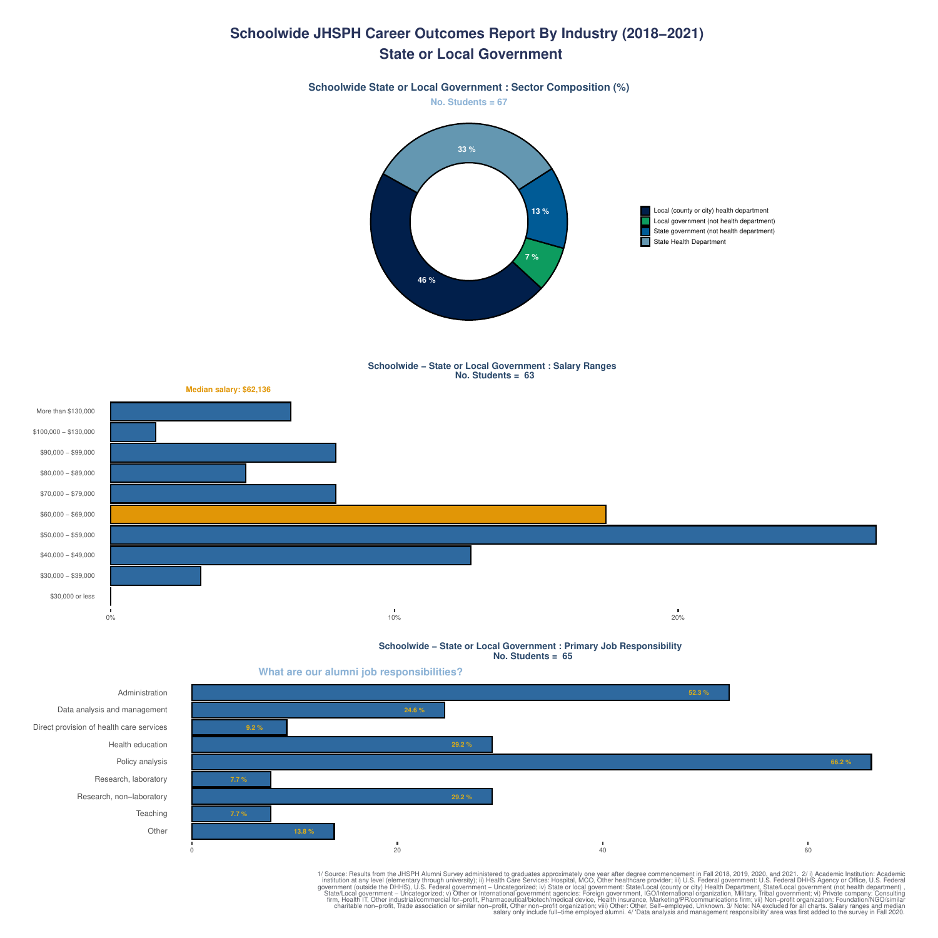#### **Schoolwide JHSPH Career Outcomes Report By Industry (2018−2021) State or Local Government**

**Schoolwide State or Local Government : Sector Composition (%)**



Local (county or city) health department Local government (not health department) State government (not health department) П State Health Department

**Schoolwide − State or Local Government : Salary Ranges No. Students = 63**



**Schoolwide − State or Local Government : Primary Job Responsibility No. Students = 65**

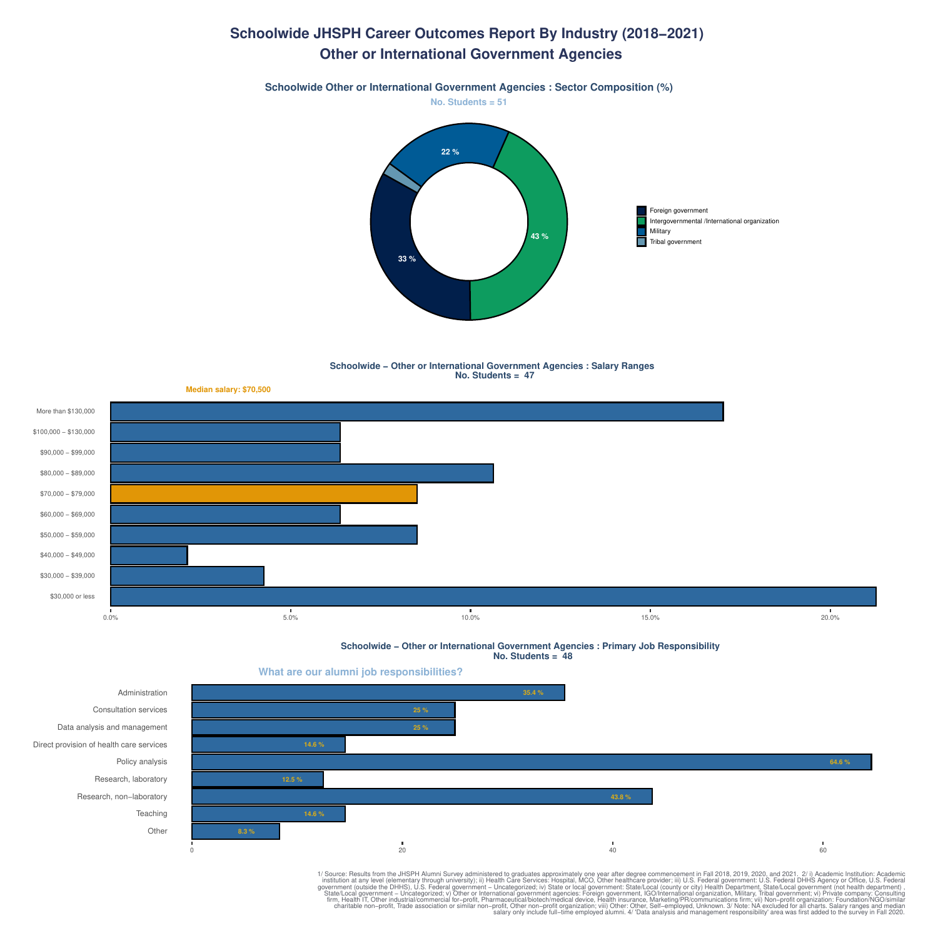# **Schoolwide JHSPH Career Outcomes Report By Industry (2018−2021) Other or International Government Agencies**





#### **Schoolwide − Other or International Government Agencies : Salary Ranges No. Students = 47**



**Schoolwide − Other or International Government Agencies : Primary Job Responsibility No. Students = 48**

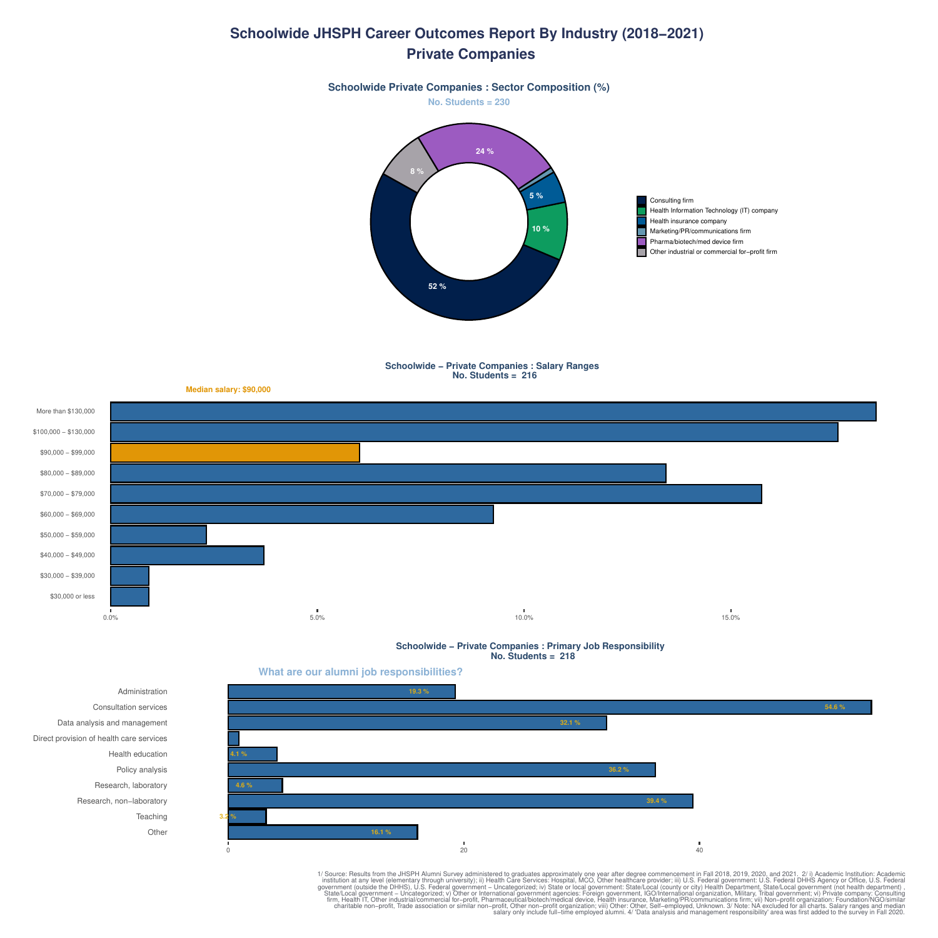#### **Schoolwide JHSPH Career Outcomes Report By Industry (2018−2021) Private Companies**







**Schoolwide − Private Companies : Salary Ranges No. Students = 216**



**Schoolwide − Private Companies : Primary Job Responsibility No. Students = 218**



**Other Teaching** Research, non−laboratory Research, laboratory Policy analysis Health education Direct provision of health care services Data analysis and management Consultation services Administration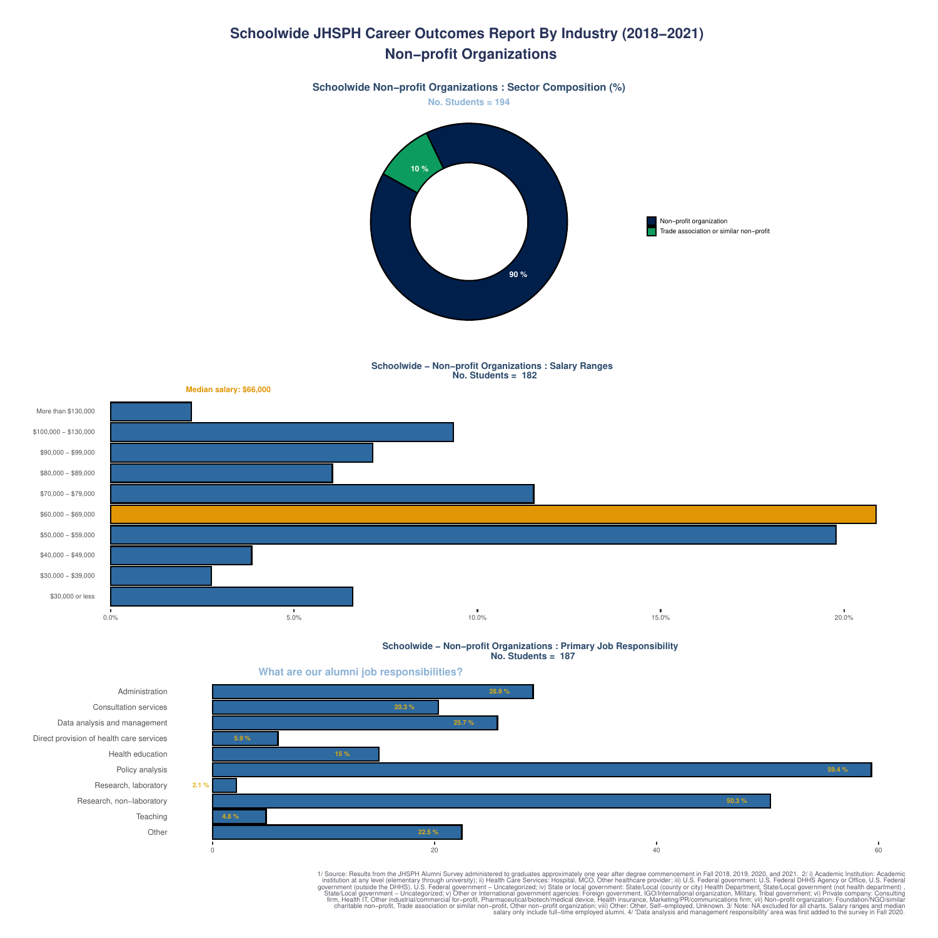## **Schoolwide JHSPH Career Outcomes Report By Industry (2018−2021) Non−profit Organizations**



**Schoolwide − Non−profit Organizations : Salary Ranges No. Students = 182**



**Schoolwide − Non−profit Organizations : Primary Job Responsibility No. Students = 187**



**Other Teaching** Research, non−laboratory Research, laboratory Policy analysis Health education Direct provision of health care services Data analysis and management Consultation services